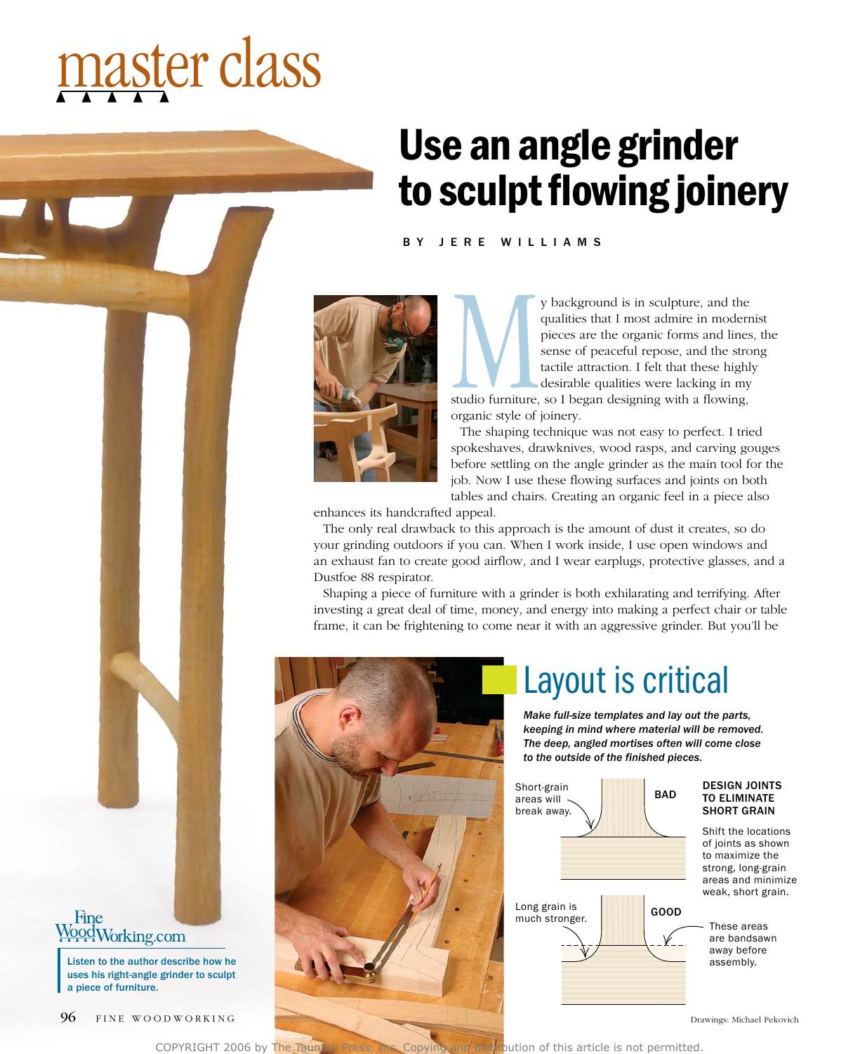# master class

# Use an angle grinder to sculpt flowing joinery

BY JERE WILLIAMS



y background is in sculpture, and the<br>qualities that I most admire in modern<br>pieces are the organic forms and lines<br>sense of peaceful repose, and the stro<br>tactile attraction. I felt that these highly<br>desirable qualities we qualities that I most admire in modernist pieces are the organic forms and lines, the sense of peaceful repose, and the strong tactile attraction. I felt that these highly desirable qualities were lacking in my

studio furniture, so I began designing with a flowing, organic style of joinery.

The shaping technique was not easy to perfect. I tried spokeshaves, drawknives, wood rasps, and carving gouges before settling on the angle grinder as the main tool for the job. Now I use these flowing surfaces and joints on both tables and chairs. Creating an organic feel in a piece also

enhances its handcrafted appeal.

The only real drawback to this approach is the amount of dust it creates, so do your grinding outdoors if you can. When I work inside, I use open windows and an exhaust fan to create good airflow, and I wear earplugs, protective glasses, and a Dustfoe 88 respirator.

Shaping a piece of furniture with a grinder is both exhilarating and terrifying. After investing a great deal of time, money, and energy into making a perfect chair or table frame, it can be frightening to come near it with an aggressive grinder. But you'll be



#### Layout is critical

*Make full-size templates and lay out the parts, keeping in mind where material will be removed. The deep, angled mortises often will come close to the outside of the finished pieces.*



#### Design joints to eliminate **SHORT GRAIN**

Shift the locations of joints as shown to maximize the strong, long-grain areas and minimize weak, short grain.

are bandsawn away before

COPYRIGHT 2006 by The Taunton Press, Inc. Copying and distribution of this article is not permitted.

### Fine<br>WoodWorking.com

uses his right-angle grinder to sculpt a piece of furniture.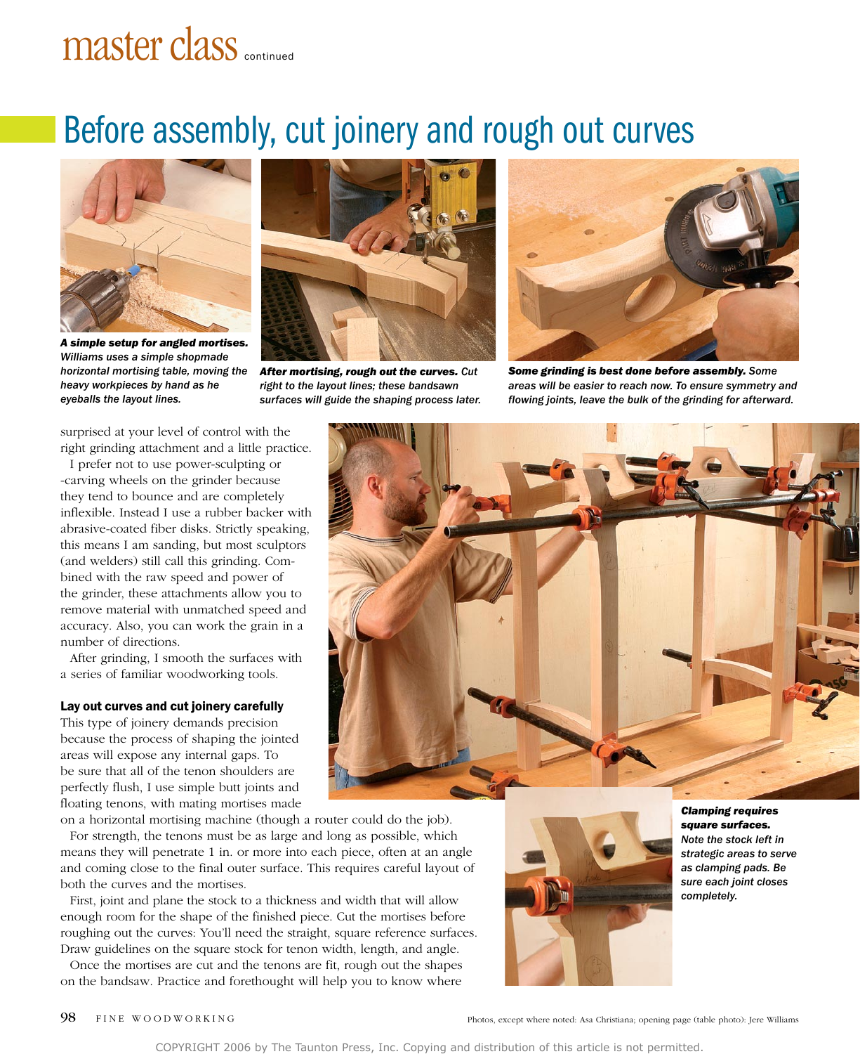## master class continued

### Before assembly, cut joinery and rough out curves



*A simple setup for angled mortises. Williams uses a simple shopmade horizontal mortising table, moving the heavy workpieces by hand as he eyeballs the layout lines.*



*After mortising, rough out the curves. Cut right to the layout lines; these bandsawn surfaces will guide the shaping process later.*



*Some grinding is best done before assembly. Some areas will be easier to reach now. To ensure symmetry and flowing joints, leave the bulk of the grinding for afterward.*

surprised at your level of control with the right grinding attachment and a little practice.

I prefer not to use power-sculpting or -carving wheels on the grinder because they tend to bounce and are completely inflexible. Instead I use a rubber backer with abrasive-coated fiber disks. Strictly speaking, this means I am sanding, but most sculptors (and welders) still call this grinding. Combined with the raw speed and power of the grinder, these attachments allow you to remove material with unmatched speed and accuracy. Also, you can work the grain in a number of directions.

After grinding, I smooth the surfaces with a series of familiar woodworking tools.

#### Lay out curves and cut joinery carefully

This type of joinery demands precision because the process of shaping the jointed areas will expose any internal gaps. To be sure that all of the tenon shoulders are perfectly flush, I use simple butt joints and floating tenons, with mating mortises made

on a horizontal mortising machine (though a router could do the job). For strength, the tenons must be as large and long as possible, which means they will penetrate 1 in. or more into each piece, often at an angle and coming close to the final outer surface. This requires careful layout of both the curves and the mortises.

First, joint and plane the stock to a thickness and width that will allow enough room for the shape of the finished piece. Cut the mortises before roughing out the curves: You'll need the straight, square reference surfaces. Draw guidelines on the square stock for tenon width, length, and angle.

Once the mortises are cut and the tenons are fit, rough out the shapes on the bandsaw. Practice and forethought will help you to know where





*Clamping requires square surfaces. Note the stock left in strategic areas to serve as clamping pads. Be sure each joint closes completely.*

98 FINE WOODWORKING Photos, except where noted: Asa Christiana; opening page (table photo): Jere Williams